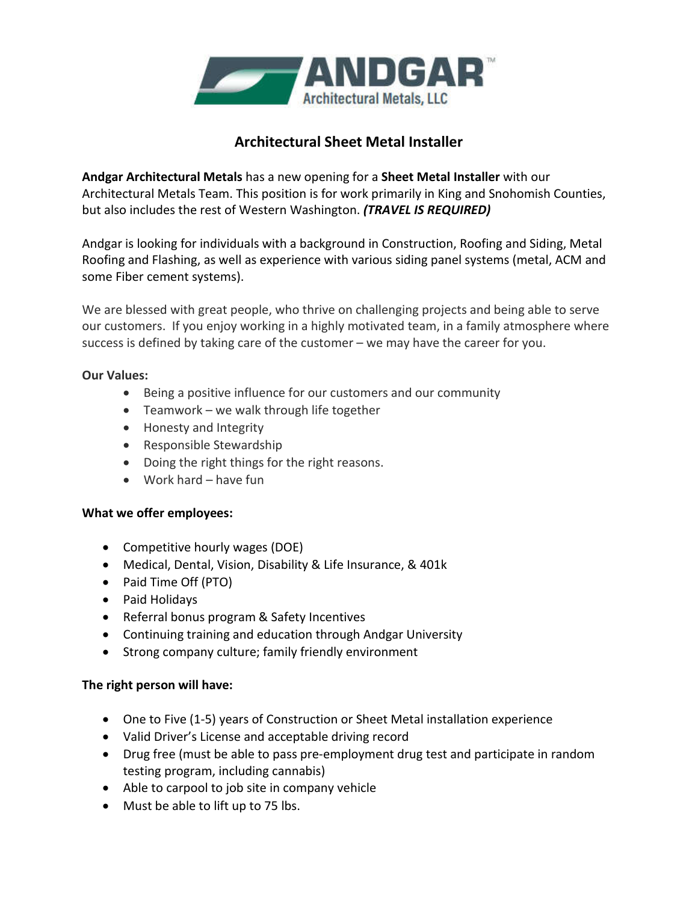

## **Architectural Sheet Metal Installer**

**Andgar Architectural Metals** has a new opening for a **Sheet Metal Installer** with our Architectural Metals Team. This position is for work primarily in King and Snohomish Counties, but also includes the rest of Western Washington. *(TRAVEL IS REQUIRED)*

Andgar is looking for individuals with a background in Construction, Roofing and Siding, Metal Roofing and Flashing, as well as experience with various siding panel systems (metal, ACM and some Fiber cement systems).

We are blessed with great people, who thrive on challenging projects and being able to serve our customers. If you enjoy working in a highly motivated team, in a family atmosphere where success is defined by taking care of the customer – we may have the career for you.

## **Our Values:**

- Being a positive influence for our customers and our community
- Teamwork we walk through life together
- Honesty and Integrity
- Responsible Stewardship
- Doing the right things for the right reasons.
- Work hard have fun

## **What we offer employees:**

- Competitive hourly wages (DOE)
- Medical, Dental, Vision, Disability & Life Insurance, & 401k
- Paid Time Off (PTO)
- Paid Holidays
- Referral bonus program & Safety Incentives
- Continuing training and education through Andgar University
- Strong company culture; family friendly environment

## **The right person will have:**

- One to Five (1-5) years of Construction or Sheet Metal installation experience
- Valid Driver's License and acceptable driving record
- Drug free (must be able to pass pre-employment drug test and participate in random testing program, including cannabis)
- Able to carpool to job site in company vehicle
- Must be able to lift up to 75 lbs.